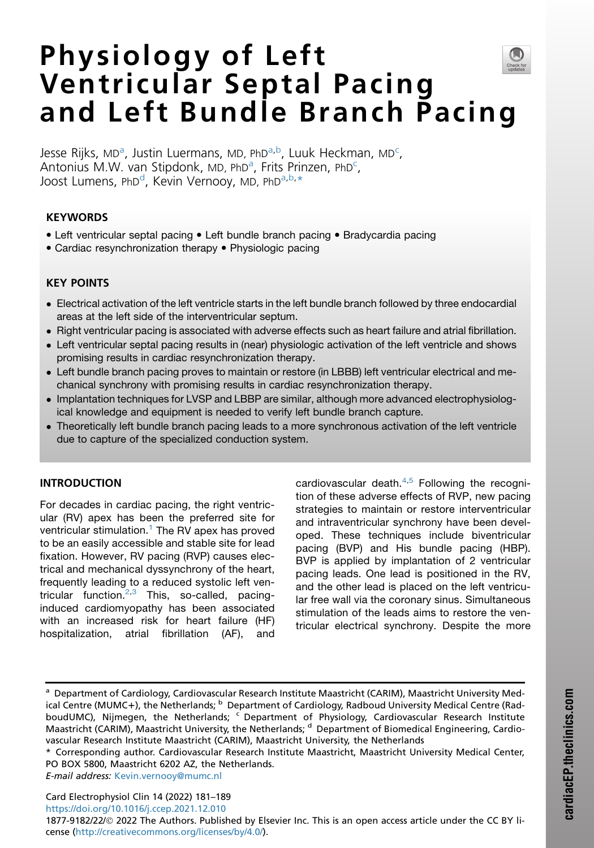# Physiology of Left Ventricular Septal Pacing and Left Bundle Branch Pacing

Jesse Rijks, MD<sup>a</sup>, Justin Luermans, MD, PhD<sup>[a,](#page-0-0)[b](#page-0-1)</sup>, Luuk He[c](#page-0-2)kman, MD<sup>c</sup>, ousse mynd, me , sus[a](#page-0-0)nt Edermany, me, me , , Edent Hoemme<br>Antonius M.W. van Stipdonk, MD, PhD<sup>a</sup>, Frits Prinzen, PhD<sup>[c](#page-0-2)</sup>, Joost Lumens, PhD<sup>[d](#page-0-3)</sup>, Kevin Vernoov, MD, PhD<sup>[a,](#page-0-0)[b](#page-0-1),[\\*](#page-0-4)</sup>

# **KEYWORDS**

- Left ventricular septal pacing Left bundle branch pacing Bradycardia pacing
- Cardiac resynchronization therapy Physiologic pacing

# KEY POINTS

- Electrical activation of the left ventricle starts in the left bundle branch followed by three endocardial areas at the left side of the interventricular septum.
- Right ventricular pacing is associated with adverse effects such as heart failure and atrial fibrillation.
- Left ventricular septal pacing results in (near) physiologic activation of the left ventricle and shows promising results in cardiac resynchronization therapy.
- Left bundle branch pacing proves to maintain or restore (in LBBB) left ventricular electrical and mechanical synchrony with promising results in cardiac resynchronization therapy.
- Implantation techniques for LVSP and LBBP are similar, although more advanced electrophysiological knowledge and equipment is needed to verify left bundle branch capture.
- Theoretically left bundle branch pacing leads to a more synchronous activation of the left ventricle due to capture of the specialized conduction system.

## INTRODUCTION

For decades in cardiac pacing, the right ventricular (RV) apex has been the preferred site for ventricular stimulation. $<sup>1</sup>$  $<sup>1</sup>$  $<sup>1</sup>$  The RV apex has proved</sup> to be an easily accessible and stable site for lead fixation. However, RV pacing (RVP) causes electrical and mechanical dyssynchrony of the heart, frequently leading to a reduced systolic left ventricular function. $2,3$  $2,3$  $2,3$  This, so-called, pacinginduced cardiomyopathy has been associated with an increased risk for heart failure (HF) hospitalization, atrial fibrillation (AF), and

cardiovascular death. $4,5$  $4,5$  $4,5$  Following the recognition of these adverse effects of RVP, new pacing strategies to maintain or restore interventricular and intraventricular synchrony have been developed. These techniques include biventricular pacing (BVP) and His bundle pacing (HBP). BVP is applied by implantation of 2 ventricular pacing leads. One lead is positioned in the RV, and the other lead is placed on the left ventricular free wall via the coronary sinus. Simultaneous stimulation of the leads aims to restore the ventricular electrical synchrony. Despite the more

E-mail address: [Kevin.vernooy@mumc.nl](mailto:Kevin.vernooy@mumc.nl)

Card Electrophysiol Clin 14 (2022) 181–189

<https://doi.org/10.1016/j.ccep.2021.12.010>

1877-9182/22/© 2022 The Authors. Published by Elsevier Inc. This is an open access article under the CC BY license [\(http://creativecommons.org/licenses/by/4.0/\)](http://creativecommons.org/licenses/by/4.0/).



<span id="page-0-2"></span><span id="page-0-1"></span><span id="page-0-0"></span>a Department of Cardiology, Cardiovascular Research Institute Maastricht (CARIM), Maastricht University Medical Centre (MUMC+), the Netherlands; <sup>b</sup> Department of Cardiology, Radboud University Medical Centre (RadboudUMC), Nijmegen, the Netherlands; <sup>c</sup> Department of Physiology, Cardiovascular Research Institute Maastricht (CARIM), Maastricht University, the Netherlands; <sup>d</sup> Department of Biomedical Engineering, Cardiovascular Research Institute Maastricht (CARIM), Maastricht University, the Netherlands

<span id="page-0-4"></span><span id="page-0-3"></span><sup>\*</sup> Corresponding author. Cardiovascular Research Institute Maastricht, Maastricht University Medical Center, PO BOX 5800, Maastricht 6202 AZ, the Netherlands.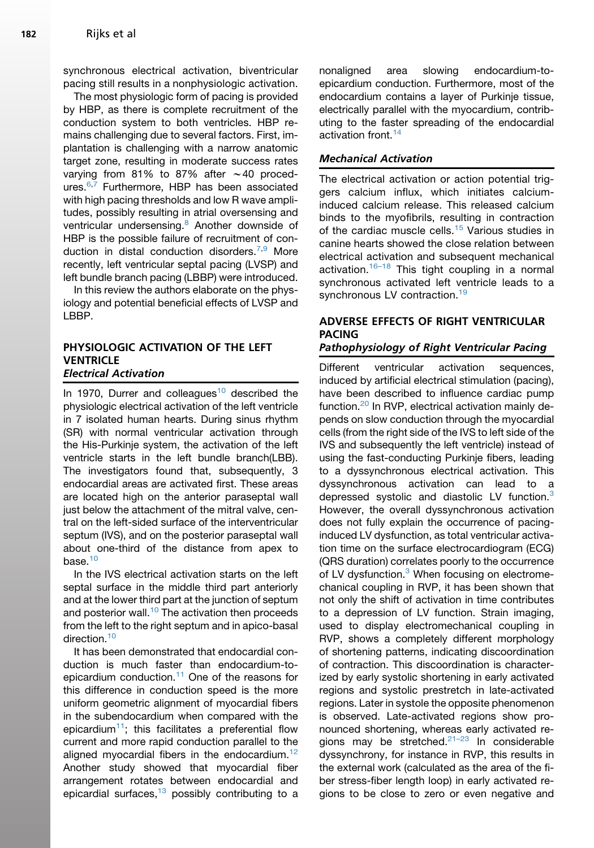synchronous electrical activation, biventricular pacing still results in a nonphysiologic activation.

The most physiologic form of pacing is provided by HBP, as there is complete recruitment of the conduction system to both ventricles. HBP remains challenging due to several factors. First, implantation is challenging with a narrow anatomic target zone, resulting in moderate success rates varying from 81% to 87% after  $\sim$  40 proced-ures.<sup>6[,7](#page-6-6)</sup> Furthermore, HBP has been associated with high pacing thresholds and low R wave amplitudes, possibly resulting in atrial oversensing and ventricular undersensing.<sup>[8](#page-6-7)</sup> Another downside of HBP is the possible failure of recruitment of con-duction in distal conduction disorders.<sup>[7](#page-6-6)[,9](#page-6-8)</sup> More recently, left ventricular septal pacing (LVSP) and left bundle branch pacing (LBBP) were introduced.

In this review the authors elaborate on the physiology and potential beneficial effects of LVSP and LBBP.

#### PHYSIOLOGIC ACTIVATION OF THE LEFT **VENTRICI F** Electrical Activation

In 1970, Durrer and colleagues<sup>[10](#page-6-9)</sup> described the physiologic electrical activation of the left ventricle in 7 isolated human hearts. During sinus rhythm (SR) with normal ventricular activation through the His-Purkinje system, the activation of the left ventricle starts in the left bundle branch(LBB). The investigators found that, subsequently, 3 endocardial areas are activated first. These areas are located high on the anterior paraseptal wall just below the attachment of the mitral valve, central on the left-sided surface of the interventricular septum (IVS), and on the posterior paraseptal wall about one-third of the distance from apex to base.<sup>[10](#page-6-9)</sup>

In the IVS electrical activation starts on the left septal surface in the middle third part anteriorly and at the lower third part at the junction of septum and posterior wall.<sup>[10](#page-6-9)</sup> The activation then proceeds from the left to the right septum and in apico-basal direction.<sup>[10](#page-6-9)</sup>

It has been demonstrated that endocardial conduction is much faster than endocardium-to-epicardium conduction.<sup>[11](#page-6-10)</sup> One of the reasons for this difference in conduction speed is the more uniform geometric alignment of myocardial fibers in the subendocardium when compared with the epicardium<sup>11</sup>; this facilitates a preferential flow current and more rapid conduction parallel to the aligned myocardial fibers in the endocardium.<sup>[12](#page-6-11)</sup> Another study showed that myocardial fiber arrangement rotates between endocardial and epicardial surfaces, $13$  possibly contributing to a nonaligned area slowing endocardium-toepicardium conduction. Furthermore, most of the endocardium contains a layer of Purkinje tissue, electrically parallel with the myocardium, contributing to the faster spreading of the endocardial activation front.<sup>[14](#page-7-1)</sup>

#### Mechanical Activation

The electrical activation or action potential triggers calcium influx, which initiates calciuminduced calcium release. This released calcium binds to the myofibrils, resulting in contraction of the cardiac muscle cells.<sup>[15](#page-7-2)</sup> Various studies in canine hearts showed the close relation between electrical activation and subsequent mechanical activation.<sup>16-18</sup> This tight coupling in a normal synchronous activated left ventricle leads to a synchronous LV contraction.<sup>[19](#page-7-4)</sup>

# ADVERSE EFFECTS OF RIGHT VENTRICULAR PACING

## Pathophysiology of Right Ventricular Pacing

Different ventricular activation sequences, induced by artificial electrical stimulation (pacing), have been described to influence cardiac pump function.<sup>[20](#page-7-5)</sup> In RVP, electrical activation mainly depends on slow conduction through the myocardial cells (from the right side of the IVS to left side of the IVS and subsequently the left ventricle) instead of using the fast-conducting Purkinje fibers, leading to a dyssynchronous electrical activation. This dyssynchronous activation can lead to a depressed systolic and diastolic LV function.<sup>[3](#page-6-2)</sup> However, the overall dyssynchronous activation does not fully explain the occurrence of pacinginduced LV dysfunction, as total ventricular activation time on the surface electrocardiogram (ECG) (QRS duration) correlates poorly to the occurrence of LV dysfunction.<sup>[3](#page-6-2)</sup> When focusing on electromechanical coupling in RVP, it has been shown that not only the shift of activation in time contributes to a depression of LV function. Strain imaging, used to display electromechanical coupling in RVP, shows a completely different morphology of shortening patterns, indicating discoordination of contraction. This discoordination is characterized by early systolic shortening in early activated regions and systolic prestretch in late-activated regions. Later in systole the opposite phenomenon is observed. Late-activated regions show pronounced shortening, whereas early activated regions may be stretched. $21-23$  In considerable dyssynchrony, for instance in RVP, this results in the external work (calculated as the area of the fiber stress-fiber length loop) in early activated regions to be close to zero or even negative and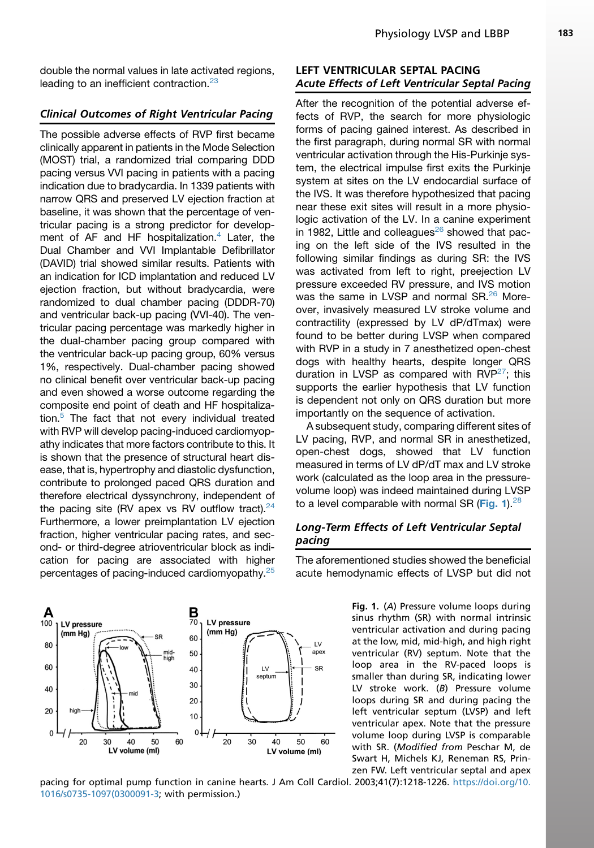double the normal values in late activated regions, leading to an inefficient contraction.<sup>[23](#page-7-7)</sup>

#### Clinical Outcomes of Right Ventricular Pacing

The possible adverse effects of RVP first became clinically apparent in patients in the Mode Selection (MOST) trial, a randomized trial comparing DDD pacing versus VVI pacing in patients with a pacing indication due to bradycardia. In 1339 patients with narrow QRS and preserved LV ejection fraction at baseline, it was shown that the percentage of ventricular pacing is a strong predictor for development of AF and HF hospitalization. $4$  Later, the Dual Chamber and VVI Implantable Defibrillator (DAVID) trial showed similar results. Patients with an indication for ICD implantation and reduced LV ejection fraction, but without bradycardia, were randomized to dual chamber pacing (DDDR-70) and ventricular back-up pacing (VVI-40). The ventricular pacing percentage was markedly higher in the dual-chamber pacing group compared with the ventricular back-up pacing group, 60% versus 1%, respectively. Dual-chamber pacing showed no clinical benefit over ventricular back-up pacing and even showed a worse outcome regarding the composite end point of death and HF hospitaliza-tion.<sup>[5](#page-6-4)</sup> The fact that not every individual treated with RVP will develop pacing-induced cardiomyopathy indicates that more factors contribute to this. It is shown that the presence of structural heart disease, that is, hypertrophy and diastolic dysfunction, contribute to prolonged paced QRS duration and therefore electrical dyssynchrony, independent of the pacing site (RV apex vs RV outflow tract). $24$ Furthermore, a lower preimplantation LV ejection fraction, higher ventricular pacing rates, and second- or third-degree atrioventricular block as indication for pacing are associated with higher percentages of pacing-induced cardiomyopathy.<sup>[25](#page-7-9)</sup>

<span id="page-2-0"></span>

#### LEFT VENTRICULAR SEPTAL PACING Acute Effects of Left Ventricular Septal Pacing

After the recognition of the potential adverse effects of RVP, the search for more physiologic forms of pacing gained interest. As described in the first paragraph, during normal SR with normal ventricular activation through the His-Purkinje system, the electrical impulse first exits the Purkinje system at sites on the LV endocardial surface of the IVS. It was therefore hypothesized that pacing near these exit sites will result in a more physiologic activation of the LV. In a canine experiment in 1982, Little and colleagues $26$  showed that pacing on the left side of the IVS resulted in the following similar findings as during SR: the IVS was activated from left to right, preejection LV pressure exceeded RV pressure, and IVS motion was the same in LVSP and normal SR.<sup>[26](#page-7-10)</sup> Moreover, invasively measured LV stroke volume and contractility (expressed by LV dP/dTmax) were found to be better during LVSP when compared with RVP in a study in 7 anesthetized open-chest dogs with healthy hearts, despite longer QRS duration in LVSP as compared with  $RVP^{27}$  $RVP^{27}$  $RVP^{27}$ ; this supports the earlier hypothesis that LV function is dependent not only on QRS duration but more importantly on the sequence of activation.

A subsequent study, comparing different sites of LV pacing, RVP, and normal SR in anesthetized, open-chest dogs, showed that LV function measured in terms of LV dP/dT max and LV stroke work (calculated as the loop area in the pressurevolume loop) was indeed maintained during LVSP to a level comparable with normal SR ([Fig. 1](#page-2-0)). $^{28}$  $^{28}$  $^{28}$ 

#### Long-Term Effects of Left Ventricular Septal pacing

The aforementioned studies showed the beneficial acute hemodynamic effects of LVSP but did not

> Fig. 1. (A) Pressure volume loops during sinus rhythm (SR) with normal intrinsic ventricular activation and during pacing at the low, mid, mid-high, and high right ventricular (RV) septum. Note that the loop area in the RV-paced loops is smaller than during SR, indicating lower LV stroke work. (B) Pressure volume loops during SR and during pacing the left ventricular septum (LVSP) and left ventricular apex. Note that the pressure volume loop during LVSP is comparable with SR. (Modified from Peschar M, de Swart H, Michels KJ, Reneman RS, Prinzen FW. Left ventricular septal and apex

pacing for optimal pump function in canine hearts. J Am Coll Cardiol. 2003;41(7):1218-1226. [https://doi.org/10.](https://doi.org/10.1016/s0735-1097(0300091-3) [1016/s0735-1097\(0300091-3;](https://doi.org/10.1016/s0735-1097(0300091-3) with permission.)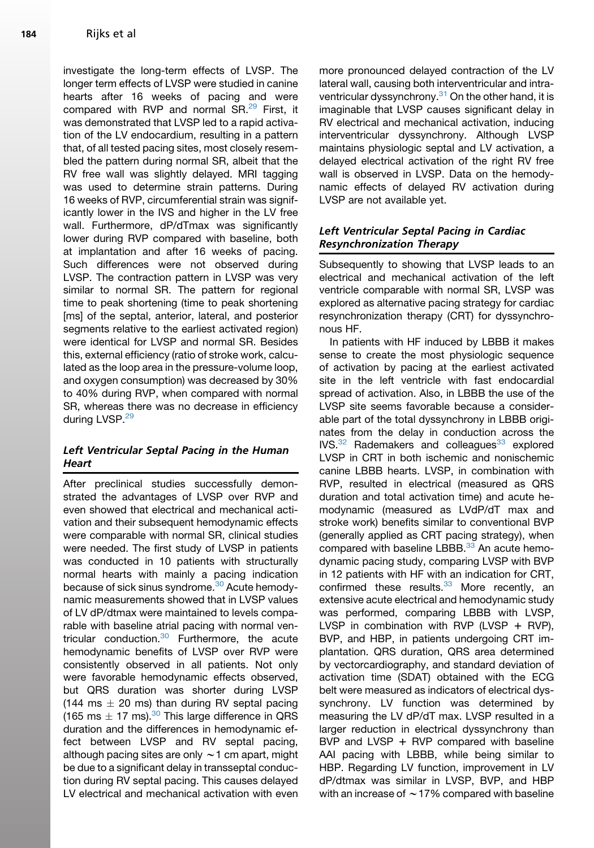184 Rijks et al

investigate the long-term effects of LVSP. The longer term effects of LVSP were studied in canine hearts after 16 weeks of pacing and were compared with RVP and normal SR.<sup>[29](#page-7-13)</sup> First, it was demonstrated that LVSP led to a rapid activation of the LV endocardium, resulting in a pattern that, of all tested pacing sites, most closely resembled the pattern during normal SR, albeit that the RV free wall was slightly delayed. MRI tagging was used to determine strain patterns. During 16 weeks of RVP, circumferential strain was significantly lower in the IVS and higher in the LV free wall. Furthermore, dP/dTmax was significantly lower during RVP compared with baseline, both at implantation and after 16 weeks of pacing. Such differences were not observed during LVSP. The contraction pattern in LVSP was very similar to normal SR. The pattern for regional time to peak shortening (time to peak shortening [ms] of the septal, anterior, lateral, and posterior segments relative to the earliest activated region) were identical for LVSP and normal SR. Besides this, external efficiency (ratio of stroke work, calculated as the loop area in the pressure-volume loop, and oxygen consumption) was decreased by 30% to 40% during RVP, when compared with normal SR, whereas there was no decrease in efficiency during LVSP.[29](#page-7-13)

## Left Ventricular Septal Pacing in the Human Heart

After preclinical studies successfully demonstrated the advantages of LVSP over RVP and even showed that electrical and mechanical activation and their subsequent hemodynamic effects were comparable with normal SR, clinical studies were needed. The first study of LVSP in patients was conducted in 10 patients with structurally normal hearts with mainly a pacing indication because of sick sinus syndrome.<sup>[30](#page-7-14)</sup> Acute hemodynamic measurements showed that in LVSP values of LV dP/dtmax were maintained to levels comparable with baseline atrial pacing with normal ventricular conduction.[30](#page-7-14) Furthermore, the acute hemodynamic benefits of LVSP over RVP were consistently observed in all patients. Not only were favorable hemodynamic effects observed, but QRS duration was shorter during LVSP (144 ms  $\pm$  20 ms) than during RV septal pacing (165 ms  $\pm$  17 ms).<sup>[30](#page-7-14)</sup> This large difference in QRS duration and the differences in hemodynamic effect between LVSP and RV septal pacing, although pacing sites are only  $\sim$  1 cm apart, might be due to a significant delay in transseptal conduction during RV septal pacing. This causes delayed LV electrical and mechanical activation with even

more pronounced delayed contraction of the LV lateral wall, causing both interventricular and intraventricular dyssynchrony.<sup>31</sup> On the other hand, it is imaginable that LVSP causes significant delay in RV electrical and mechanical activation, inducing interventricular dyssynchrony. Although LVSP maintains physiologic septal and LV activation, a delayed electrical activation of the right RV free wall is observed in LVSP. Data on the hemodynamic effects of delayed RV activation during LVSP are not available yet.

## Left Ventricular Septal Pacing in Cardiac Resynchronization Therapy

Subsequently to showing that LVSP leads to an electrical and mechanical activation of the left ventricle comparable with normal SR, LVSP was explored as alternative pacing strategy for cardiac resynchronization therapy (CRT) for dyssynchronous HF.

In patients with HF induced by LBBB it makes sense to create the most physiologic sequence of activation by pacing at the earliest activated site in the left ventricle with fast endocardial spread of activation. Also, in LBBB the use of the LVSP site seems favorable because a considerable part of the total dyssynchrony in LBBB originates from the delay in conduction across the  $IVS.<sup>32</sup>$  $IVS.<sup>32</sup>$  $IVS.<sup>32</sup>$  Rademakers and colleagues<sup>[33](#page-7-17)</sup> explored LVSP in CRT in both ischemic and nonischemic canine LBBB hearts. LVSP, in combination with RVP, resulted in electrical (measured as QRS duration and total activation time) and acute hemodynamic (measured as LVdP/dT max and stroke work) benefits similar to conventional BVP (generally applied as CRT pacing strategy), when compared with baseline LBBB.<sup>[33](#page-7-17)</sup> An acute hemodynamic pacing study, comparing LVSP with BVP in 12 patients with HF with an indication for CRT, confirmed these results. $33$  More recently, an extensive acute electrical and hemodynamic study was performed, comparing LBBB with LVSP, LVSP in combination with RVP (LVSP  $+$  RVP), BVP, and HBP, in patients undergoing CRT implantation. QRS duration, QRS area determined by vectorcardiography, and standard deviation of activation time (SDAT) obtained with the ECG belt were measured as indicators of electrical dyssynchrony. LV function was determined by measuring the LV dP/dT max. LVSP resulted in a larger reduction in electrical dyssynchrony than BVP and LVSP  $+$  RVP compared with baseline AAI pacing with LBBB, while being similar to HBP. Regarding LV function, improvement in LV dP/dtmax was similar in LVSP, BVP, and HBP with an increase of  $\sim$  17% compared with baseline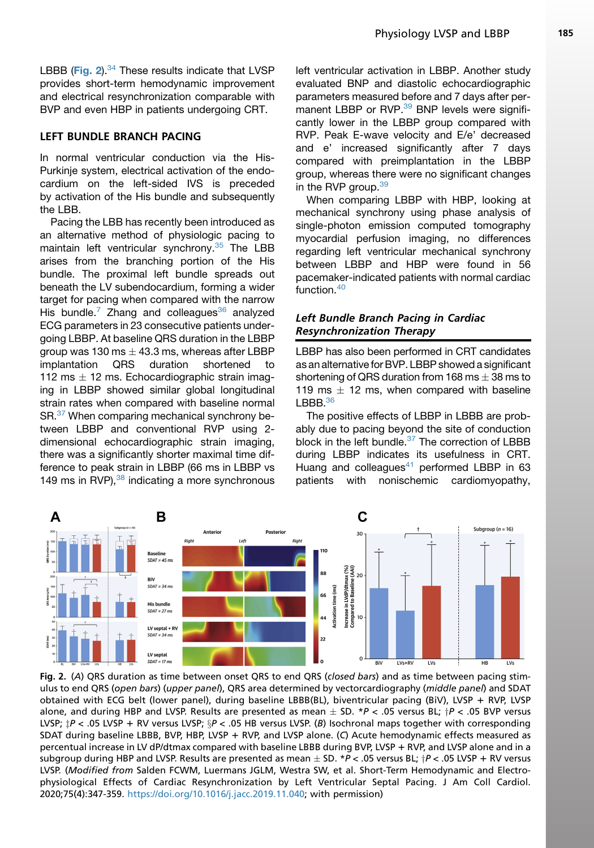LBBB ([Fig. 2](#page-4-0)). $34$  These results indicate that LVSP provides short-term hemodynamic improvement and electrical resynchronization comparable with BVP and even HBP in patients undergoing CRT.

## LEFT BUNDLE BRANCH PACING

In normal ventricular conduction via the His-Purkinje system, electrical activation of the endocardium on the left-sided IVS is preceded by activation of the His bundle and subsequently the LBB.

Pacing the LBB has recently been introduced as an alternative method of physiologic pacing to maintain left ventricular synchrony.<sup>[35](#page-7-19)</sup> The LBB arises from the branching portion of the His bundle. The proximal left bundle spreads out beneath the LV subendocardium, forming a wider target for pacing when compared with the narrow His bundle.<sup>[7](#page-6-6)</sup> Zhang and colleagues<sup>[36](#page-7-20)</sup> analyzed ECG parameters in 23 consecutive patients undergoing LBBP. At baseline QRS duration in the LBBP group was 130 ms  $\pm$  43.3 ms, whereas after LBBP implantation  $QRS$  duration shortened to implantation 112 ms  $\pm$  12 ms. Echocardiographic strain imaging in LBBP showed similar global longitudinal strain rates when compared with baseline normal SR.<sup>[37](#page-7-21)</sup> When comparing mechanical synchrony between LBBP and conventional RVP using 2 dimensional echocardiographic strain imaging, there was a significantly shorter maximal time difference to peak strain in LBBP (66 ms in LBBP vs 149 ms in RVP), $^{38}$  $^{38}$  $^{38}$  indicating a more synchronous left ventricular activation in LBBP. Another study evaluated BNP and diastolic echocardiographic parameters measured before and 7 days after permanent LBBP or RVP.<sup>39</sup> BNP levels were significantly lower in the LBBP group compared with RVP. Peak E-wave velocity and E/e' decreased and e' increased significantly after 7 days compared with preimplantation in the LBBP group, whereas there were no significant changes in the RVP group.<sup>[39](#page-7-23)</sup>

When comparing LBBP with HBP, looking at mechanical synchrony using phase analysis of single-photon emission computed tomography myocardial perfusion imaging, no differences regarding left ventricular mechanical synchrony between LBBP and HBP were found in 56 pacemaker-indicated patients with normal cardiac function.<sup>[40](#page-7-24)</sup>

#### Left Bundle Branch Pacing in Cardiac Resynchronization Therapy

LBBP has also been performed in CRT candidates as an alternative for BVP. LBBP showed a significant shortening of QRS duration from 168 ms  $\pm$  38 ms to 119 ms  $\pm$  12 ms, when compared with baseline  $LBBB.36$  $LBBB.36$ 

The positive effects of LBBP in LBBB are probably due to pacing beyond the site of conduction block in the left bundle. $37$  The correction of LBBB during LBBP indicates its usefulness in CRT. Huang and colleagues $41$  performed LBBP in 63 patients with nonischemic cardiomyopathy,

<span id="page-4-0"></span>

Fig. 2. (A) QRS duration as time between onset QRS to end QRS (closed bars) and as time between pacing stimulus to end QRS (open bars) (upper panel), QRS area determined by vectorcardiography (middle panel) and SDAT obtained with ECG belt (lower panel), during baseline LBBB(BL), biventricular pacing (BiV), LVSP + RVP, LVSP alone, and during HBP and LVSP. Results are presented as mean  $\pm$  SD. \*P < .05 versus BL;  $\uparrow$ P < .05 BVP versus LVSP;  $\sharp P$  < .05 LVSP + RV versus LVSP;  $\sharp P$  < .05 HB versus LVSP. (B) Isochronal maps together with corresponding SDAT during baseline LBBB, BVP, HBP, LVSP + RVP, and LVSP alone. (C) Acute hemodynamic effects measured as percentual increase in LV dP/dtmax compared with baseline LBBB during BVP, LVSP + RVP, and LVSP alone and in a subgroup during HBP and LVSP. Results are presented as mean  $\pm$  SD. \*P < .05 versus BL;  $\uparrow$ P < .05 LVSP + RV versus LVSP. (Modified from Salden FCWM, Luermans JGLM, Westra SW, et al. Short-Term Hemodynamic and Electrophysiological Effects of Cardiac Resynchronization by Left Ventricular Septal Pacing. J Am Coll Cardiol. 2020;75(4):347-359. <https://doi.org/10.1016/j.jacc.2019.11.040>; with permission)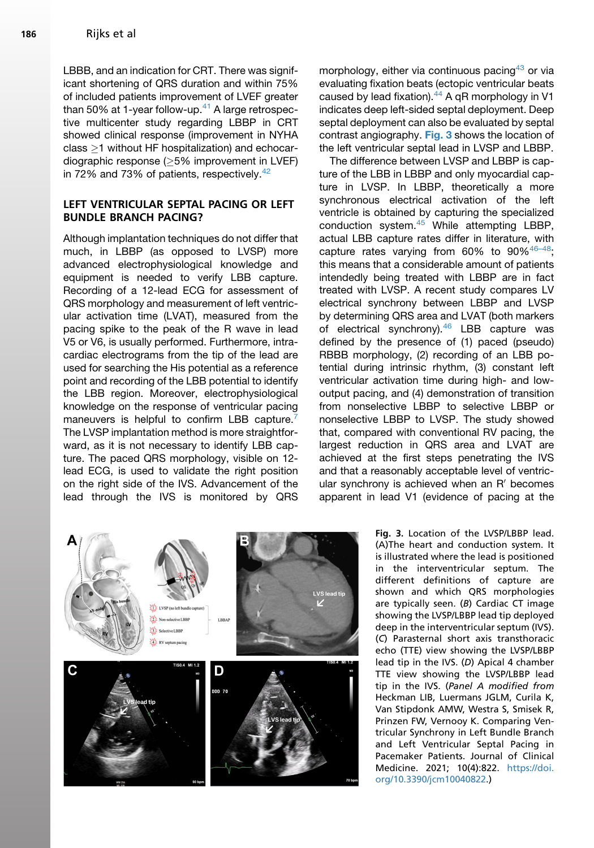LBBB, and an indication for CRT. There was significant shortening of QRS duration and within 75% of included patients improvement of LVEF greater than 50% at 1-year follow-up. $41$  A large retrospective multicenter study regarding LBBP in CRT showed clinical response (improvement in NYHA  $class > 1$  without HF hospitalization) and echocardiographic response  $(≥5%$  improvement in LVEF) in 72% and 73% of patients, respectively.<sup>[42](#page-8-1)</sup>

## LEFT VENTRICULAR SEPTAL PACING OR LEFT BUNDLE BRANCH PACING?

Although implantation techniques do not differ that much, in LBBP (as opposed to LVSP) more advanced electrophysiological knowledge and equipment is needed to verify LBB capture. Recording of a 12-lead ECG for assessment of QRS morphology and measurement of left ventricular activation time (LVAT), measured from the pacing spike to the peak of the R wave in lead V5 or V6, is usually performed. Furthermore, intracardiac electrograms from the tip of the lead are used for searching the His potential as a reference point and recording of the LBB potential to identify the LBB region. Moreover, electrophysiological knowledge on the response of ventricular pacing maneuvers is helpful to confirm LBB capture.<sup>[7](#page-6-6)</sup> The LVSP implantation method is more straightforward, as it is not necessary to identify LBB capture. The paced QRS morphology, visible on 12 lead ECG, is used to validate the right position on the right side of the IVS. Advancement of the lead through the IVS is monitored by QRS

morphology, either via continuous pacing  $43$  or via evaluating fixation beats (ectopic ventricular beats caused by lead fixation). $44$  A qR morphology in V1 indicates deep left-sided septal deployment. Deep septal deployment can also be evaluated by septal contrast angiography. [Fig. 3](#page-5-0) shows the location of the left ventricular septal lead in LVSP and LBBP.

The difference between LVSP and LBBP is capture of the LBB in LBBP and only myocardial capture in LVSP. In LBBP, theoretically a more synchronous electrical activation of the left ventricle is obtained by capturing the specialized conduction system.[45](#page-8-4) While attempting LBBP, actual LBB capture rates differ in literature, with capture rates varying from  $60\%$  to  $90\%$ <sup>46-48</sup>: this means that a considerable amount of patients intendedly being treated with LBBP are in fact treated with LVSP. A recent study compares LV electrical synchrony between LBBP and LVSP by determining QRS area and LVAT (both markers of electrical synchrony).<sup>[46](#page-8-5)</sup> LBB capture was defined by the presence of (1) paced (pseudo) RBBB morphology, (2) recording of an LBB potential during intrinsic rhythm, (3) constant left ventricular activation time during high- and lowoutput pacing, and (4) demonstration of transition from nonselective LBBP to selective LBBP or nonselective LBBP to LVSP. The study showed that, compared with conventional RV pacing, the largest reduction in QRS area and LVAT are achieved at the first steps penetrating the IVS and that a reasonably acceptable level of ventricular synchrony is achieved when an  $R'$  becomes apparent in lead V1 (evidence of pacing at the

<span id="page-5-0"></span>

Fig. 3. Location of the LVSP/LBBP lead. (A)The heart and conduction system. It is illustrated where the lead is positioned in the interventricular septum. The different definitions of capture are shown and which QRS morphologies are typically seen.  $(B)$  Cardiac CT image showing the LVSP/LBBP lead tip deployed deep in the interventricular septum (IVS). (C) Parasternal short axis transthoracic echo (TTE) view showing the LVSP/LBBP lead tip in the IVS. (D) Apical 4 chamber TTE view showing the LVSP/LBBP lead tip in the IVS. (Panel A modified from Heckman LIB, Luermans JGLM, Curila K, Van Stipdonk AMW, Westra S, Smisek R, Prinzen FW, Vernooy K. Comparing Ventricular Synchrony in Left Bundle Branch and Left Ventricular Septal Pacing in Pacemaker Patients. Journal of Clinical Medicine. 2021; 10(4):822. [https://doi.](https://doi.org/10.3390/jcm10040822) [org/10.3390/jcm10040822](https://doi.org/10.3390/jcm10040822).)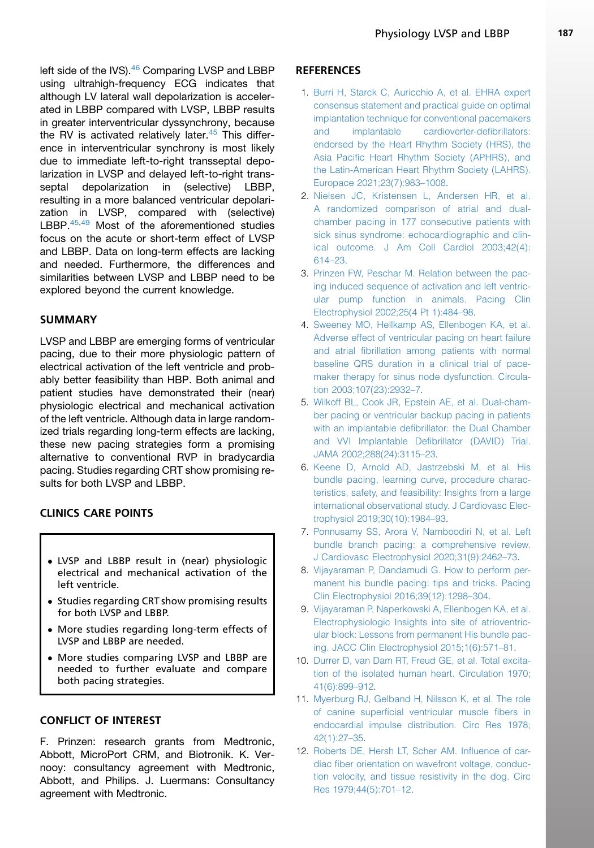left side of the IVS). $46$  Comparing LVSP and LBBP using ultrahigh-frequency ECG indicates that although LV lateral wall depolarization is accelerated in LBBP compared with LVSP, LBBP results in greater interventricular dyssynchrony, because the RV is activated relatively later. $45$  This difference in interventricular synchrony is most likely due to immediate left-to-right transseptal depolarization in LVSP and delayed left-to-right transseptal depolarization in (selective) LBBP, resulting in a more balanced ventricular depolarization in LVSP, compared with (selective) LBBP.<sup>[45,](#page-8-4)[49](#page-8-6)</sup> Most of the aforementioned studies focus on the acute or short-term effect of LVSP and LBBP. Data on long-term effects are lacking and needed. Furthermore, the differences and similarities between LVSP and LBBP need to be explored beyond the current knowledge.

## **SUMMARY**

LVSP and LBBP are emerging forms of ventricular pacing, due to their more physiologic pattern of electrical activation of the left ventricle and probably better feasibility than HBP. Both animal and patient studies have demonstrated their (near) physiologic electrical and mechanical activation of the left ventricle. Although data in large randomized trials regarding long-term effects are lacking, these new pacing strategies form a promising alternative to conventional RVP in bradycardia pacing. Studies regarding CRT show promising results for both LVSP and LBBP.

## CLINICS CARE POINTS

- LVSP and LBBP result in (near) physiologic electrical and mechanical activation of the left ventricle.
- Studies regarding CRT show promising results for both LVSP and LBBP.
- More studies regarding long-term effects of LVSP and LBBP are needed.
- More studies comparing LVSP and LBBP are needed to further evaluate and compare both pacing strategies.

#### CONFLICT OF INTEREST

F. Prinzen: research grants from Medtronic, Abbott, MicroPort CRM, and Biotronik. K. Vernooy: consultancy agreement with Medtronic, Abbott, and Philips. J. Luermans: Consultancy agreement with Medtronic.

#### **REFERENCES**

- <span id="page-6-0"></span>1. [Burri H, Starck C, Auricchio A, et al. EHRA expert](http://refhub.elsevier.com/S1877-9182(21)00121-0/sref1) [consensus statement and practical guide on optimal](http://refhub.elsevier.com/S1877-9182(21)00121-0/sref1) [implantation technique for conventional pacemakers](http://refhub.elsevier.com/S1877-9182(21)00121-0/sref1) [and implantable cardioverter-defibrillators:](http://refhub.elsevier.com/S1877-9182(21)00121-0/sref1) [endorsed by the Heart Rhythm Society \(HRS\), the](http://refhub.elsevier.com/S1877-9182(21)00121-0/sref1) [Asia Pacific Heart Rhythm Society \(APHRS\), and](http://refhub.elsevier.com/S1877-9182(21)00121-0/sref1) [the Latin-American Heart Rhythm Society \(LAHRS\).](http://refhub.elsevier.com/S1877-9182(21)00121-0/sref1) [Europace 2021;23\(7\):983–1008](http://refhub.elsevier.com/S1877-9182(21)00121-0/sref1).
- <span id="page-6-1"></span>2. [Nielsen JC, Kristensen L, Andersen HR, et al.](http://refhub.elsevier.com/S1877-9182(21)00121-0/sref2) [A randomized comparison of atrial and dual](http://refhub.elsevier.com/S1877-9182(21)00121-0/sref2)[chamber pacing in 177 consecutive patients with](http://refhub.elsevier.com/S1877-9182(21)00121-0/sref2) [sick sinus syndrome: echocardiographic and clin](http://refhub.elsevier.com/S1877-9182(21)00121-0/sref2)[ical outcome. J Am Coll Cardiol 2003;42\(4\):](http://refhub.elsevier.com/S1877-9182(21)00121-0/sref2) [614–23.](http://refhub.elsevier.com/S1877-9182(21)00121-0/sref2)
- <span id="page-6-2"></span>3. [Prinzen FW, Peschar M. Relation between the pac](http://refhub.elsevier.com/S1877-9182(21)00121-0/sref3)[ing induced sequence of activation and left ventric](http://refhub.elsevier.com/S1877-9182(21)00121-0/sref3)[ular pump function in animals. Pacing Clin](http://refhub.elsevier.com/S1877-9182(21)00121-0/sref3) [Electrophysiol 2002;25\(4 Pt 1\):484–98.](http://refhub.elsevier.com/S1877-9182(21)00121-0/sref3)
- <span id="page-6-3"></span>4. [Sweeney MO, Hellkamp AS, Ellenbogen KA, et al.](http://refhub.elsevier.com/S1877-9182(21)00121-0/sref4) [Adverse effect of ventricular pacing on heart failure](http://refhub.elsevier.com/S1877-9182(21)00121-0/sref4) [and atrial fibrillation among patients with normal](http://refhub.elsevier.com/S1877-9182(21)00121-0/sref4) [baseline QRS duration in a clinical trial of pace](http://refhub.elsevier.com/S1877-9182(21)00121-0/sref4)[maker therapy for sinus node dysfunction. Circula](http://refhub.elsevier.com/S1877-9182(21)00121-0/sref4)[tion 2003;107\(23\):2932–7.](http://refhub.elsevier.com/S1877-9182(21)00121-0/sref4)
- <span id="page-6-4"></span>5. [Wilkoff BL, Cook JR, Epstein AE, et al. Dual-cham](http://refhub.elsevier.com/S1877-9182(21)00121-0/sref5)[ber pacing or ventricular backup pacing in patients](http://refhub.elsevier.com/S1877-9182(21)00121-0/sref5) [with an implantable defibrillator: the Dual Chamber](http://refhub.elsevier.com/S1877-9182(21)00121-0/sref5) [and VVI Implantable Defibrillator \(DAVID\) Trial.](http://refhub.elsevier.com/S1877-9182(21)00121-0/sref5) [JAMA 2002;288\(24\):3115–23](http://refhub.elsevier.com/S1877-9182(21)00121-0/sref5).
- <span id="page-6-5"></span>6. [Keene D, Arnold AD, Jastrzebski M, et al. His](http://refhub.elsevier.com/S1877-9182(21)00121-0/sref6) [bundle pacing, learning curve, procedure charac](http://refhub.elsevier.com/S1877-9182(21)00121-0/sref6)[teristics, safety, and feasibility: Insights from a large](http://refhub.elsevier.com/S1877-9182(21)00121-0/sref6) [international observational study. J Cardiovasc Elec](http://refhub.elsevier.com/S1877-9182(21)00121-0/sref6)[trophysiol 2019;30\(10\):1984–93](http://refhub.elsevier.com/S1877-9182(21)00121-0/sref6).
- <span id="page-6-6"></span>7. [Ponnusamy SS, Arora V, Namboodiri N, et al. Left](http://refhub.elsevier.com/S1877-9182(21)00121-0/sref7) [bundle branch pacing: a comprehensive review.](http://refhub.elsevier.com/S1877-9182(21)00121-0/sref7) [J Cardiovasc Electrophysiol 2020;31\(9\):2462–73.](http://refhub.elsevier.com/S1877-9182(21)00121-0/sref7)
- <span id="page-6-7"></span>8. [Vijayaraman P, Dandamudi G. How to perform per](http://refhub.elsevier.com/S1877-9182(21)00121-0/sref8)[manent his bundle pacing: tips and tricks. Pacing](http://refhub.elsevier.com/S1877-9182(21)00121-0/sref8) [Clin Electrophysiol 2016;39\(12\):1298–304](http://refhub.elsevier.com/S1877-9182(21)00121-0/sref8).
- <span id="page-6-8"></span>9. [Vijayaraman P, Naperkowski A, Ellenbogen KA, et al.](http://refhub.elsevier.com/S1877-9182(21)00121-0/sref9) [Electrophysiologic Insights into site of atrioventric](http://refhub.elsevier.com/S1877-9182(21)00121-0/sref9)[ular block: Lessons from permanent His bundle pac](http://refhub.elsevier.com/S1877-9182(21)00121-0/sref9)[ing. JACC Clin Electrophysiol 2015;1\(6\):571–81.](http://refhub.elsevier.com/S1877-9182(21)00121-0/sref9)
- <span id="page-6-9"></span>10. [Durrer D, van Dam RT, Freud GE, et al. Total excita](http://refhub.elsevier.com/S1877-9182(21)00121-0/sref10)[tion of the isolated human heart. Circulation 1970;](http://refhub.elsevier.com/S1877-9182(21)00121-0/sref10) [41\(6\):899–912](http://refhub.elsevier.com/S1877-9182(21)00121-0/sref10).
- <span id="page-6-10"></span>11. [Myerburg RJ, Gelband H, Nilsson K, et al. The role](http://refhub.elsevier.com/S1877-9182(21)00121-0/sref11) [of canine superficial ventricular muscle fibers in](http://refhub.elsevier.com/S1877-9182(21)00121-0/sref11) [endocardial impulse distribution. Circ Res 1978;](http://refhub.elsevier.com/S1877-9182(21)00121-0/sref11) [42\(1\):27–35](http://refhub.elsevier.com/S1877-9182(21)00121-0/sref11).
- <span id="page-6-11"></span>12. [Roberts DE, Hersh LT, Scher AM. Influence of car](http://refhub.elsevier.com/S1877-9182(21)00121-0/sref12)[diac fiber orientation on wavefront voltage, conduc](http://refhub.elsevier.com/S1877-9182(21)00121-0/sref12)[tion velocity, and tissue resistivity in the dog. Circ](http://refhub.elsevier.com/S1877-9182(21)00121-0/sref12) [Res 1979;44\(5\):701–12.](http://refhub.elsevier.com/S1877-9182(21)00121-0/sref12)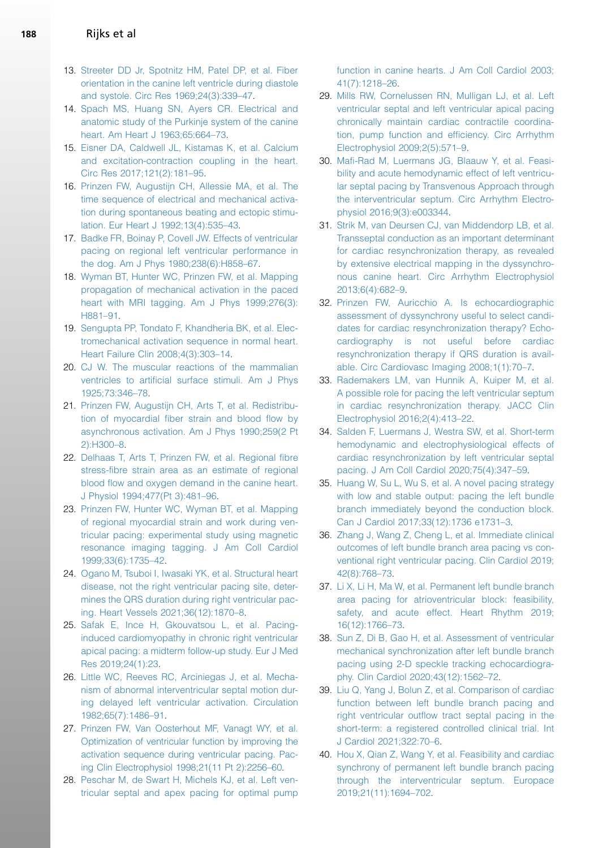- <span id="page-7-0"></span>13. [Streeter DD Jr, Spotnitz HM, Patel DP, et al. Fiber](http://refhub.elsevier.com/S1877-9182(21)00121-0/sref13) [orientation in the canine left ventricle during diastole](http://refhub.elsevier.com/S1877-9182(21)00121-0/sref13) [and systole. Circ Res 1969;24\(3\):339–47](http://refhub.elsevier.com/S1877-9182(21)00121-0/sref13).
- <span id="page-7-1"></span>14. [Spach MS, Huang SN, Ayers CR. Electrical and](http://refhub.elsevier.com/S1877-9182(21)00121-0/sref14) [anatomic study of the Purkinje system of the canine](http://refhub.elsevier.com/S1877-9182(21)00121-0/sref14) [heart. Am Heart J 1963;65:664–73.](http://refhub.elsevier.com/S1877-9182(21)00121-0/sref14)
- <span id="page-7-2"></span>15. [Eisner DA, Caldwell JL, Kistamas K, et al. Calcium](http://refhub.elsevier.com/S1877-9182(21)00121-0/sref15) [and excitation-contraction coupling in the heart.](http://refhub.elsevier.com/S1877-9182(21)00121-0/sref15) [Circ Res 2017;121\(2\):181–95.](http://refhub.elsevier.com/S1877-9182(21)00121-0/sref15)
- <span id="page-7-3"></span>16. [Prinzen FW, Augustijn CH, Allessie MA, et al. The](http://refhub.elsevier.com/S1877-9182(21)00121-0/sref16) [time sequence of electrical and mechanical activa](http://refhub.elsevier.com/S1877-9182(21)00121-0/sref16)[tion during spontaneous beating and ectopic stimu](http://refhub.elsevier.com/S1877-9182(21)00121-0/sref16)[lation. Eur Heart J 1992;13\(4\):535–43](http://refhub.elsevier.com/S1877-9182(21)00121-0/sref16).
- 17. [Badke FR, Boinay P, Covell JW. Effects of ventricular](http://refhub.elsevier.com/S1877-9182(21)00121-0/sref17) [pacing on regional left ventricular performance in](http://refhub.elsevier.com/S1877-9182(21)00121-0/sref17) [the dog. Am J Phys 1980;238\(6\):H858–67.](http://refhub.elsevier.com/S1877-9182(21)00121-0/sref17)
- 18. [Wyman BT, Hunter WC, Prinzen FW, et al. Mapping](http://refhub.elsevier.com/S1877-9182(21)00121-0/sref18) [propagation of mechanical activation in the paced](http://refhub.elsevier.com/S1877-9182(21)00121-0/sref18) [heart with MRI tagging. Am J Phys 1999;276\(3\):](http://refhub.elsevier.com/S1877-9182(21)00121-0/sref18) [H881–91](http://refhub.elsevier.com/S1877-9182(21)00121-0/sref18).
- <span id="page-7-4"></span>19. [Sengupta PP, Tondato F, Khandheria BK, et al. Elec](http://refhub.elsevier.com/S1877-9182(21)00121-0/sref19)[tromechanical activation sequence in normal heart.](http://refhub.elsevier.com/S1877-9182(21)00121-0/sref19) [Heart Failure Clin 2008;4\(3\):303–14](http://refhub.elsevier.com/S1877-9182(21)00121-0/sref19).
- <span id="page-7-5"></span>20. [CJ W. The muscular reactions of the mammalian](http://refhub.elsevier.com/S1877-9182(21)00121-0/sref20) [ventricles to artificial surface stimuli. Am J Phys](http://refhub.elsevier.com/S1877-9182(21)00121-0/sref20) [1925;73:346–78](http://refhub.elsevier.com/S1877-9182(21)00121-0/sref20).
- <span id="page-7-6"></span>21. [Prinzen FW, Augustijn CH, Arts T, et al. Redistribu](http://refhub.elsevier.com/S1877-9182(21)00121-0/sref21)[tion of myocardial fiber strain and blood flow by](http://refhub.elsevier.com/S1877-9182(21)00121-0/sref21) [asynchronous activation. Am J Phys 1990;259\(2 Pt](http://refhub.elsevier.com/S1877-9182(21)00121-0/sref21) [2\):H300–8](http://refhub.elsevier.com/S1877-9182(21)00121-0/sref21).
- 22. [Delhaas T, Arts T, Prinzen FW, et al. Regional fibre](http://refhub.elsevier.com/S1877-9182(21)00121-0/sref22) [stress-fibre strain area as an estimate of regional](http://refhub.elsevier.com/S1877-9182(21)00121-0/sref22) [blood flow and oxygen demand in the canine heart.](http://refhub.elsevier.com/S1877-9182(21)00121-0/sref22) [J Physiol 1994;477\(Pt 3\):481–96.](http://refhub.elsevier.com/S1877-9182(21)00121-0/sref22)
- <span id="page-7-7"></span>23. [Prinzen FW, Hunter WC, Wyman BT, et al. Mapping](http://refhub.elsevier.com/S1877-9182(21)00121-0/sref23) [of regional myocardial strain and work during ven](http://refhub.elsevier.com/S1877-9182(21)00121-0/sref23)[tricular pacing: experimental study using magnetic](http://refhub.elsevier.com/S1877-9182(21)00121-0/sref23) [resonance imaging tagging. J Am Coll Cardiol](http://refhub.elsevier.com/S1877-9182(21)00121-0/sref23) [1999;33\(6\):1735–42](http://refhub.elsevier.com/S1877-9182(21)00121-0/sref23).
- <span id="page-7-8"></span>24. [Ogano M, Tsuboi I, Iwasaki YK, et al. Structural heart](http://refhub.elsevier.com/S1877-9182(21)00121-0/sref24) [disease, not the right ventricular pacing site, deter](http://refhub.elsevier.com/S1877-9182(21)00121-0/sref24)[mines the QRS duration during right ventricular pac](http://refhub.elsevier.com/S1877-9182(21)00121-0/sref24)[ing. Heart Vessels 2021;36\(12\):1870–8](http://refhub.elsevier.com/S1877-9182(21)00121-0/sref24).
- <span id="page-7-9"></span>25. [Safak E, Ince H, Gkouvatsou L, et al. Pacing](http://refhub.elsevier.com/S1877-9182(21)00121-0/sref25)[induced cardiomyopathy in chronic right ventricular](http://refhub.elsevier.com/S1877-9182(21)00121-0/sref25) [apical pacing: a midterm follow-up study. Eur J Med](http://refhub.elsevier.com/S1877-9182(21)00121-0/sref25) [Res 2019;24\(1\):23](http://refhub.elsevier.com/S1877-9182(21)00121-0/sref25).
- <span id="page-7-10"></span>26. [Little WC, Reeves RC, Arciniegas J, et al. Mecha](http://refhub.elsevier.com/S1877-9182(21)00121-0/sref26)[nism of abnormal interventricular septal motion dur](http://refhub.elsevier.com/S1877-9182(21)00121-0/sref26)[ing delayed left ventricular activation. Circulation](http://refhub.elsevier.com/S1877-9182(21)00121-0/sref26) [1982;65\(7\):1486–91](http://refhub.elsevier.com/S1877-9182(21)00121-0/sref26).
- <span id="page-7-11"></span>27. [Prinzen FW, Van Oosterhout MF, Vanagt WY, et al.](http://refhub.elsevier.com/S1877-9182(21)00121-0/sref27) [Optimization of ventricular function by improving the](http://refhub.elsevier.com/S1877-9182(21)00121-0/sref27) [activation sequence during ventricular pacing. Pac](http://refhub.elsevier.com/S1877-9182(21)00121-0/sref27)[ing Clin Electrophysiol 1998;21\(11 Pt 2\):2256–60](http://refhub.elsevier.com/S1877-9182(21)00121-0/sref27).
- <span id="page-7-12"></span>28. [Peschar M, de Swart H, Michels KJ, et al. Left ven](http://refhub.elsevier.com/S1877-9182(21)00121-0/sref28)[tricular septal and apex pacing for optimal pump](http://refhub.elsevier.com/S1877-9182(21)00121-0/sref28)

[function in canine hearts. J Am Coll Cardiol 2003;](http://refhub.elsevier.com/S1877-9182(21)00121-0/sref28) [41\(7\):1218–26.](http://refhub.elsevier.com/S1877-9182(21)00121-0/sref28)

- <span id="page-7-13"></span>29. [Mills RW, Cornelussen RN, Mulligan LJ, et al. Left](http://refhub.elsevier.com/S1877-9182(21)00121-0/sref29) [ventricular septal and left ventricular apical pacing](http://refhub.elsevier.com/S1877-9182(21)00121-0/sref29) [chronically maintain cardiac contractile coordina](http://refhub.elsevier.com/S1877-9182(21)00121-0/sref29)[tion, pump function and efficiency. Circ Arrhythm](http://refhub.elsevier.com/S1877-9182(21)00121-0/sref29) [Electrophysiol 2009;2\(5\):571–9.](http://refhub.elsevier.com/S1877-9182(21)00121-0/sref29)
- <span id="page-7-14"></span>30. [Mafi-Rad M, Luermans JG, Blaauw Y, et al. Feasi](http://refhub.elsevier.com/S1877-9182(21)00121-0/sref30)[bility and acute hemodynamic effect of left ventricu](http://refhub.elsevier.com/S1877-9182(21)00121-0/sref30)[lar septal pacing by Transvenous Approach through](http://refhub.elsevier.com/S1877-9182(21)00121-0/sref30) [the interventricular septum. Circ Arrhythm Electro](http://refhub.elsevier.com/S1877-9182(21)00121-0/sref30)[physiol 2016;9\(3\):e003344](http://refhub.elsevier.com/S1877-9182(21)00121-0/sref30).
- <span id="page-7-15"></span>31. [Strik M, van Deursen CJ, van Middendorp LB, et al.](http://refhub.elsevier.com/S1877-9182(21)00121-0/sref31) [Transseptal conduction as an important determinant](http://refhub.elsevier.com/S1877-9182(21)00121-0/sref31) [for cardiac resynchronization therapy, as revealed](http://refhub.elsevier.com/S1877-9182(21)00121-0/sref31) [by extensive electrical mapping in the dyssynchro](http://refhub.elsevier.com/S1877-9182(21)00121-0/sref31)[nous canine heart. Circ Arrhythm Electrophysiol](http://refhub.elsevier.com/S1877-9182(21)00121-0/sref31) [2013;6\(4\):682–9.](http://refhub.elsevier.com/S1877-9182(21)00121-0/sref31)
- <span id="page-7-16"></span>32. [Prinzen FW, Auricchio A. Is echocardiographic](http://refhub.elsevier.com/S1877-9182(21)00121-0/sref32) [assessment of dyssynchrony useful to select candi](http://refhub.elsevier.com/S1877-9182(21)00121-0/sref32)[dates for cardiac resynchronization therapy? Echo](http://refhub.elsevier.com/S1877-9182(21)00121-0/sref32)[cardiography is not useful before cardiac](http://refhub.elsevier.com/S1877-9182(21)00121-0/sref32) [resynchronization therapy if QRS duration is avail](http://refhub.elsevier.com/S1877-9182(21)00121-0/sref32)[able. Circ Cardiovasc Imaging 2008;1\(1\):70–7](http://refhub.elsevier.com/S1877-9182(21)00121-0/sref32).
- <span id="page-7-17"></span>33. [Rademakers LM, van Hunnik A, Kuiper M, et al.](http://refhub.elsevier.com/S1877-9182(21)00121-0/sref33) [A possible role for pacing the left ventricular septum](http://refhub.elsevier.com/S1877-9182(21)00121-0/sref33) [in cardiac resynchronization therapy. JACC Clin](http://refhub.elsevier.com/S1877-9182(21)00121-0/sref33) [Electrophysiol 2016;2\(4\):413–22](http://refhub.elsevier.com/S1877-9182(21)00121-0/sref33).
- <span id="page-7-18"></span>34. [Salden F, Luermans J, Westra SW, et al. Short-term](http://refhub.elsevier.com/S1877-9182(21)00121-0/sref34) [hemodynamic and electrophysiological effects of](http://refhub.elsevier.com/S1877-9182(21)00121-0/sref34) [cardiac resynchronization by left ventricular septal](http://refhub.elsevier.com/S1877-9182(21)00121-0/sref34) [pacing. J Am Coll Cardiol 2020;75\(4\):347–59](http://refhub.elsevier.com/S1877-9182(21)00121-0/sref34).
- <span id="page-7-19"></span>35. [Huang W, Su L, Wu S, et al. A novel pacing strategy](http://refhub.elsevier.com/S1877-9182(21)00121-0/sref35) [with low and stable output: pacing the left bundle](http://refhub.elsevier.com/S1877-9182(21)00121-0/sref35) [branch immediately beyond the conduction block.](http://refhub.elsevier.com/S1877-9182(21)00121-0/sref35) [Can J Cardiol 2017;33\(12\):1736 e1731–3](http://refhub.elsevier.com/S1877-9182(21)00121-0/sref35).
- <span id="page-7-20"></span>36. [Zhang J, Wang Z, Cheng L, et al. Immediate clinical](http://refhub.elsevier.com/S1877-9182(21)00121-0/sref36) [outcomes of left bundle branch area pacing vs con](http://refhub.elsevier.com/S1877-9182(21)00121-0/sref36)[ventional right ventricular pacing. Clin Cardiol 2019;](http://refhub.elsevier.com/S1877-9182(21)00121-0/sref36) [42\(8\):768–73](http://refhub.elsevier.com/S1877-9182(21)00121-0/sref36).
- <span id="page-7-21"></span>37. [Li X, Li H, Ma W, et al. Permanent left bundle branch](http://refhub.elsevier.com/S1877-9182(21)00121-0/sref37) [area pacing for atrioventricular block: feasibility,](http://refhub.elsevier.com/S1877-9182(21)00121-0/sref37) [safety, and acute effect. Heart Rhythm 2019;](http://refhub.elsevier.com/S1877-9182(21)00121-0/sref37) [16\(12\):1766–73](http://refhub.elsevier.com/S1877-9182(21)00121-0/sref37).
- <span id="page-7-22"></span>38. [Sun Z, Di B, Gao H, et al. Assessment of ventricular](http://refhub.elsevier.com/S1877-9182(21)00121-0/sref38) [mechanical synchronization after left bundle branch](http://refhub.elsevier.com/S1877-9182(21)00121-0/sref38) [pacing using 2-D speckle tracking echocardiogra](http://refhub.elsevier.com/S1877-9182(21)00121-0/sref38)[phy. Clin Cardiol 2020;43\(12\):1562–72.](http://refhub.elsevier.com/S1877-9182(21)00121-0/sref38)
- <span id="page-7-23"></span>39. [Liu Q, Yang J, Bolun Z, et al. Comparison of cardiac](http://refhub.elsevier.com/S1877-9182(21)00121-0/sref39) [function between left bundle branch pacing and](http://refhub.elsevier.com/S1877-9182(21)00121-0/sref39) [right ventricular outflow tract septal pacing in the](http://refhub.elsevier.com/S1877-9182(21)00121-0/sref39) [short-term: a registered controlled clinical trial. Int](http://refhub.elsevier.com/S1877-9182(21)00121-0/sref39) [J Cardiol 2021;322:70–6.](http://refhub.elsevier.com/S1877-9182(21)00121-0/sref39)
- <span id="page-7-24"></span>40. [Hou X, Qian Z, Wang Y, et al. Feasibility and cardiac](http://refhub.elsevier.com/S1877-9182(21)00121-0/sref40) [synchrony of permanent left bundle branch pacing](http://refhub.elsevier.com/S1877-9182(21)00121-0/sref40) [through the interventricular septum. Europace](http://refhub.elsevier.com/S1877-9182(21)00121-0/sref40) [2019;21\(11\):1694–702](http://refhub.elsevier.com/S1877-9182(21)00121-0/sref40).